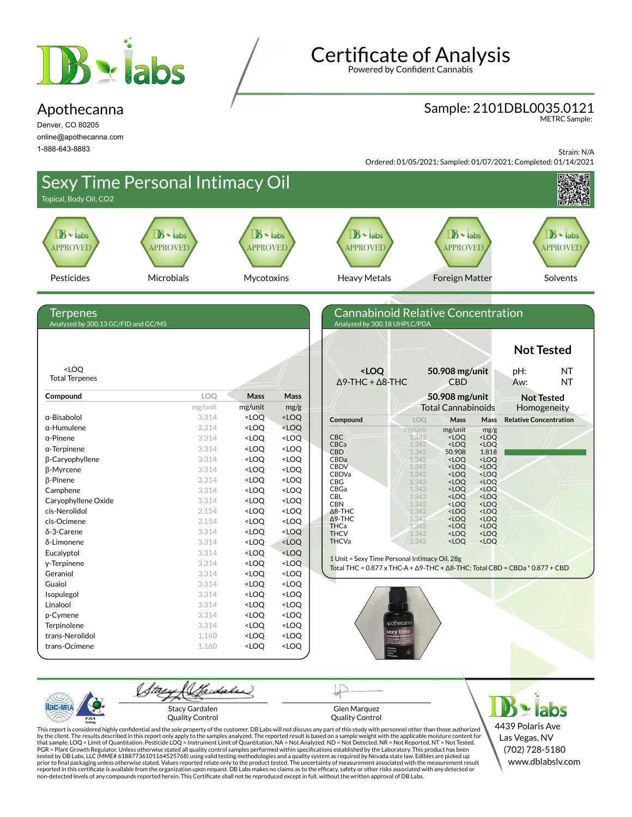

#### Apothecanna

Denver, CO 80205 online@apothecanna.com 1-888-643-8883

**Certificate of Analysis** 

Powered by Confident Cannabis

### Sample: 2101DBL0035.0121

METRC Sample:

Strain: N/A

Ordered: 01/05/2021; Sampled: 01/07/2021; Completed: 01/14/2021



Stacy Gardalen Quality Control

PJL/

Glen Marquez Quality Control

**x** labs 4439 Polaris Ave Las Vegas, NV (702) 728-5180 www.dblabslv.com

This report is considered highly confidential and the sole property of the customer. DB Labs will not discuss any part of this study with personnel other than those authorized<br>by the client. The results described in this r tested by DB Labs, LLC (MME# 61887736101164525768) using valid testing methodologies and a quality system as required by Nevada state law. Edibles are picked up<br>prior to final packaging unless otherwise stated. Values repo